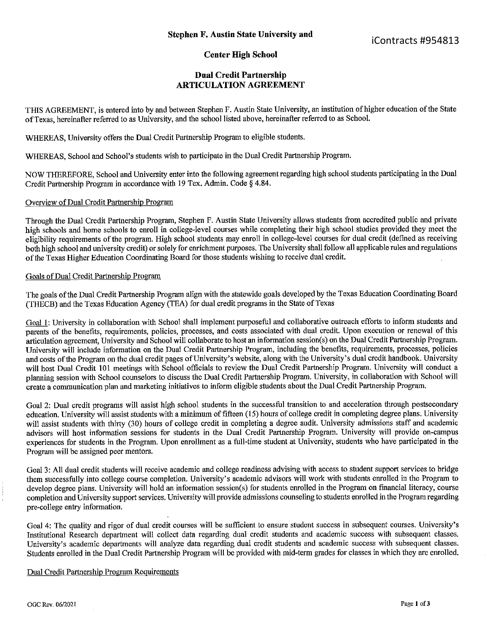# Center High School

## Dual Credit Partnership ARTICULATION AGREEMENT

THIS AGREEMENT, is entered into by and between Stephen F. Austin State University, an institution ofhigher education ofthe State ofTexas, hereinafter referred to as University, and the school listed above, hereinafter referred to as School.

WHEREAS, University offers the Dual Credit Partnership Program to eligible students.

WHEREAS, School and School's students wish to participate in the Dual Credit Partnership Program.

NOW THEREFORE, School and University enter into the following agreement regarding high school students participating in the Dual Credit Partnership Program in accordance with <sup>19</sup> Tex. Admin. Code § 4.84.

#### Overview of Dual Credit Partnership Program

Through the Dual Credit Partnership Program, Stephen F. Austin State University allows students from accredited public and private high schools and home schools to enroll in college-level courses while completing their high school studies provided they meet the eligibility requirements of the program. High school students may enroll in college—level courses for dual credit (defined as receiving both high school and university credit) or solely for enrichment purposes. The University shall follow all applicable rules and regulations ofthe Texas Higher Education Coordinating Board for those students wishing to receive dual credit.

### Goals of Dual Credit Partnership Program

The goals of the Dual Credit Partnership Program align with the statewide goals developed by the Texas Education Coordinating Board (THECB) and the Texas Education Agency (TEA) for dual credit programs in the State of Texas

Goal 1: University in collaboration with School shall implement purposeful and collaborative outreach efforts to inform students and parents of the benefits, requirements, policies, processes, and costs associated with dual credit. Upon execution or renewal of this articulation agreement, University and School will collaborate to host an information session(s) on the Dual Credit Partnership Program. University will include information on the Dual Credit Partnership Program, including the benefits, requirements, processes, policies and costs of the Program on the dual credit pages of University's website, along with the University's dual credit handbook. University will host Dual Credit <sup>101</sup> meetings with School officials to review the Dual Credit Partnership Program. University will conduct <sup>a</sup> planning session with School counselors to discuss the Dual Credit Partnership Program. University, in collaboration with School will create <sup>a</sup> communication plan and marketing initiatives to inform eligible students about the Dual Credit Partnership Program.

Goal 2: Dual credit programs will assist high school students in the successful transition to and acceleration through postsecondary education. University will assist students with <sup>a</sup> minimum of fifteen (15) hours of college credit in completing degree plans. University will assist students with thirty (30) hours of college credit in completing a degree audit. University admissions staff and academic advisers will host information sessions for students in the Dual Credit Partnership Program. University will provide on-campus experiences for students in the Program. Upon enrollment as <sup>a</sup> full—time student at University, students who have participated in the Program will be assigned peer mentors.

Goal 3: All dual credit students will receive academic and college readiness advising with access to student support services to bridge them successfully into college course completion. University's academic advisers will work with students enrolled in the Program to develop degree plans. University will hold an information session(s) for students enrolled in the Program on financial literacy, course completion and University support services. University will provide admissions counseling to students enrolled in the Program regarding pre-college entry information.

Goal 4: The quality and rigor of dual credit courses will be sufficient to ensure student success in subsequent courses. University's Institutional Research department will collect data regarding dual credit students and academic success with subsequent classes. University's academic departments will analyze data regarding dual credit students and academic success with subsequent classes. Students enrolled in the Dual Credit Partnership Program will be provided with mid-term grades for classes in which they are enrolled.

#### Dual Credit Partnership Program Requirements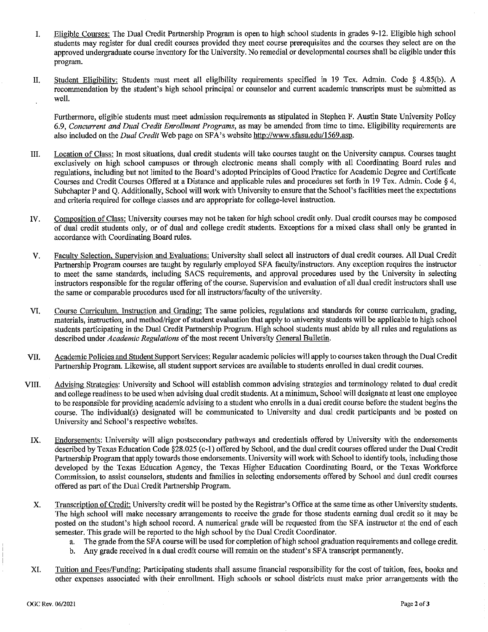- L. Eligible Courses: The Dual Credit Partnership Program is open to high school students in grades 9-12. Eligible high school students may register for dual credit courses provided they meet course prerequisites and the cours students may register for dual credit courses provided they meet course prerequisites and the courses they select are on the<br>connected the decay duals course inventory for the University. No remadial or developmental cours approved undergraduate course inventory for the University. No remedial or developmental courses shall be eligible under this program.
- II. Student Eligibility: Students must meet all eligibility requirements specified in <sup>19</sup> Tex. Admin. Code § 4.85(b). A recommendation by the student's high school principal or counselor and current academic transcripts must be submitted as well.

Furthermore, eligible students must meet admission requirements as stipulated in Stephen F. Austin State University Policy 6.9, Concurrent and Dual Credit Enrollment Programs, as may be amended from time to time. Eligibility requirements are also included on the Dual Credit Web page on SFA's website http://www.sfasu.edu/1569.asp.

- III. Location of Class: In most situations, dual credit students will take courses taught on the University campus. Courses taught exclusively on high school campuses or through electronic means shall comply with all Coordinating Board rules and regulations, including but not limited to the Board's adopted Principles of Good Practice for Academic Degree and Certificate Courses and Credit Courses Offered at <sup>a</sup> Distance and applicable rules and procedures set forth in <sup>19</sup> Tex. Admin. Code § 4, Subchapter <sup>P</sup> and Q. Additionally, School will work with University to ensure that the School's facilities meet the expectations and criteria required for college classes and are appropriate for college-level instruction.
- IV. Composition of Class: University courses may not be taken for high school credit only. Dual credit courses may be composed of dual credit students only, or of dual and college credit students. Exceptions for <sup>a</sup> mixed class shall only be granted in accordance with Coordinating Board rules.
- Faculty Selection. Supervision and Evaluations: University shall select all instructors of dual credit courses. All Dual Credit V. Partnership Program courses are taught by regularly employed SFA faculty/instructors. Any exception requires the instructor to meet the same standards, including SACS requirements, and approval procedures used by the University in selecting instructors responsible for the regular offering of the course. Supervision and evaluation of all dual credit instructors shall use the same or comparable procedures used for all instructors/faculty of the university.
- VI. Course Curriculum, Instruction and Grading: The same policies, regulations and standards for course curriculum, grading, materials, instruction, and method/rigor of student evaluation that apply to university students will be applicable to high school students participating in the Dual Credit Partnership Program. High school students must abide by all rules and regulations as described under Academic Regulations of the most recent University General Bulletin.
- VII. Academic Policies and Student Support Services: Regular academic policies will apply to courses taken through the Dual Credit Partnership Program. Likewise, all student support services are available to students enrolled in dual credit courses.
- VIII. Advising Strategies: University and School will establish common advising strategies and terminology related to dual credit and college readiness to be used when advising dual credit students. At <sup>a</sup> minimum, School will designate at least one employee to be responsible for providing academic advising to <sup>a</sup> student who enrolls in <sup>a</sup> dual credit course before the student begins the course. The individual(s) designated will be communicated to University and dual credit participants and be posted on University and School's respective websites.
- IX. Endorsements: University will align postsecondary pathways and credentials offered by University with the endorsements described by Texas Education Code §28.025 (c—l) offered by School, and the dual credit courses offered under the Dual Credit Partnership Program that apply towards those endorsements. University will work with School to identify tools, including those developed by the Texas Education Agency, the Texas Higher Education Coordinating Board, or the Texas Workforce Commission, to assist counselors, students and families in selecting endorsements offered by School and dual credit courses offered as part of the Dual Credit Partnership Program.
- Transcription ofCredit: University credit will be posted by the Registrar's Office at the same time as other University students. X. The high school will make necessary arrangements to receive the grade for those students earning dual credit so it may be posted on the student's high school record. A numerical grade will be requested from the SFA instructor at the end of each semester. This grade will be reported to the high school by the Dual Credit Coordinator.<br>a. The grade from the SFA course will be used for completion of high school gradu
	- a. The grade from the SFA course will be used for completion of high school graduation requirements and college credit.<br>b. Any grade received in a dual credit course will remain on the student's SFA transcript permanently.
		- b. Any grade received in <sup>a</sup> dual credit course will remain on the student's SFA transcript permanently.
- XI. Tuition and Fees/Funding: Participating students shall assume financial responsibility for the cost of tuition, fees, books and other expenses associated with their enrollment. High schools or school districts must make prior arrangements with the